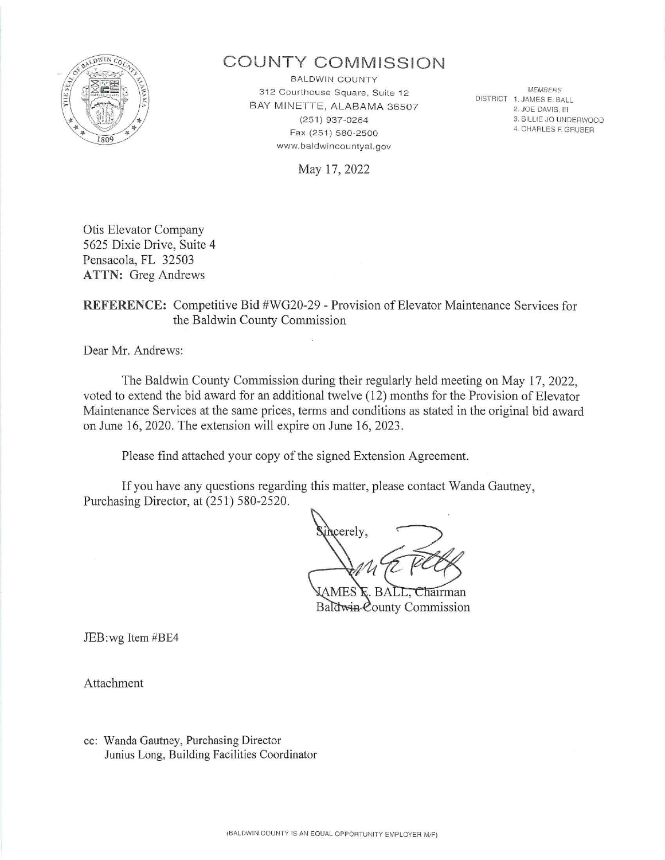

# **COUNTY COMM ISSI O N**

BALDWIN COUNTY 312 Courthouse Square, Suite 12 BAY MINETTE, ALABAMA 36507 (25 1 ) 937-0264 Fax (251) 580-2500 www.baldwincountyal.gov

MEMBERS DISTRICT 1. JAMES E. BALL 2. JOE DAVIS, III 3. BILLIE JO UNDERWOOD 4. CHARLES F. GRUBER

May 17, 2022

Otis Elevator Company 5625 Dixie Drive, Suite 4 Pensacola, FL 32503 **ATTN:** Greg Andrews

## **REFERENCE:** Competitive Bid #WG20-29 - Provision of Elevator Maintenance Services for the Baldwin County Commission

Dear Mr. Andrews:

The Baldwin County Commission during their regularly held meeting on May 17, 2022, voted to extend the bid award for an additional twelve (12) months for the Provision of Elevator Maintenance Services at the same prices, terms and conditions as stated in the original bid award on June 16, 2020. The extension will expire on June 16, 2023 .

Please find attached your copy of the signed Extension Agreement.

If you have any questions regarding this matter, please contact Wanda Gautney, Purchasing Director, at (251) 580-2520.

hcerely.

hairman Baldwin County Commission

JEB:wg Item #BE4

Attachment

cc: Wanda Gautney, Purchasing Director Junius Long, Building Facilities Coordinator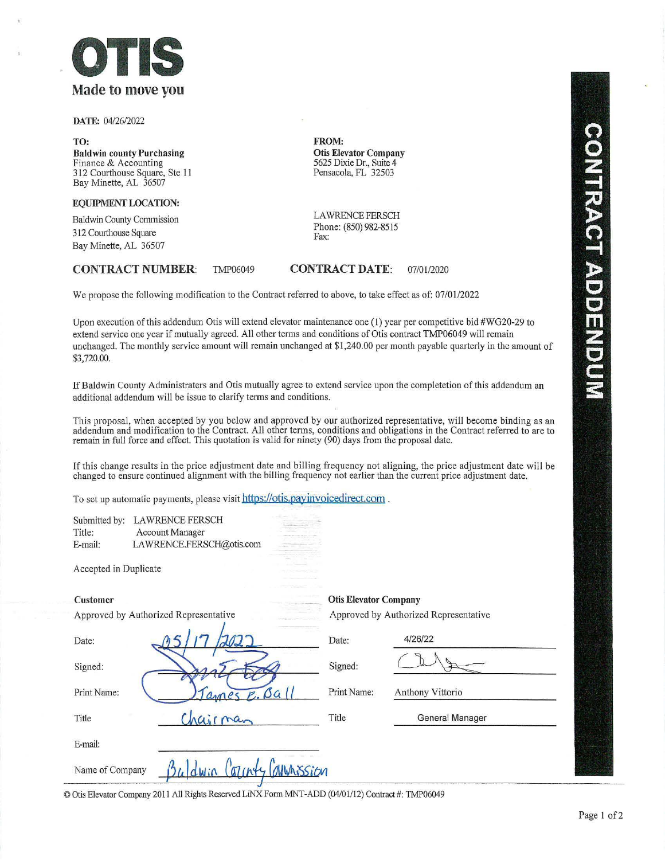

DATE: 04/26/2022

TO: Baldwin county Purchasing Finance & Accounting 312 Courthouse Square, Ste 11 Bay Minette, AL 36507

EQUIPMENT LOCATION:

Baldwin County Commission 312 Courthouse Square Bay Minette, AL 36507

### CONTRACT NUMBER: TMP06049

FROM: Otis Elevator Company 5625 Dixie Dr., Suite 4 Pensacola, FL 32503

LAWRENCE FERSCH Phone: (850) 982-8515 Fax:

## CONTRACT DATE: 07/01/2020

We propose the following modification to the Contract referred to above, to take effect as of: 07/01/2022

Upon execution of this addendum Otis will extend elevator maintenance one (1) year per competitive bid #WG20-29 to extend service one year if mutually agreed. All other terms and conditions of Otis contract TMP06049 will remain unchanged. The monthly service amount will remain unchanged at \$1,240.00 per month payable quarterly in the amount of \$3,720.00.

If Baldwin County Administraters and Otis mutually agree to extend service upon the completetion of this addendum an additional addendum will be issue to clarify terms and conditions.

This proposal, when accepted by you below and approved by our authorized representative, will become binding as an addendum and modification to the Contract. All other terms, conditions and obligations in the Contract referred to are to remain in full force and effect. This quotation is valid for ninety (90) days from the proposal date.

If this change results in the price adjustment date and billing frequency not aligning, the price adjustment date will be changed to ensure continued alignment with the billing frequency not earlier than the current price adjustment date.

To set up automatic payments, please visit https://otis.payinvoicedirect.com .

|         | Submitted by: LAWRENCE FERSCH |
|---------|-------------------------------|
| Title:  | <b>Account Manager</b>        |
| E-mail: | LAWRENCE.FERSCH@otis.com      |

Accepted in Duplicate

Approved by Authorized Representative Approved by Authorized Representative

Customer Otis Elevator Company

| Date:           |                               | Date:       | 4/26/22          |
|-----------------|-------------------------------|-------------|------------------|
| Signed:         |                               | Signed:     |                  |
| Print Name:     | $\beta a$<br>1 anne           | Print Name: | Anthony Vittorio |
| Title           | hairman                       | Title       | General Manager  |
| E-mail:         |                               |             |                  |
| Name of Company | ATINY AMUNISSION<br>$24$ dwin |             |                  |

© Otis Elevator Company 2011 All Rights Reserved LiNX Fonn MNT-ADD (04/01/12) Contract #: TMP06049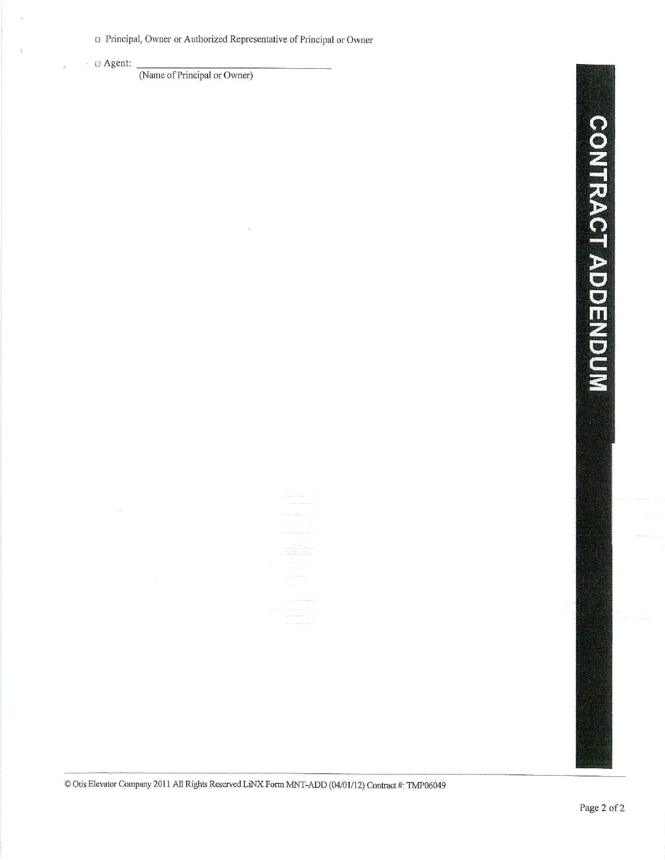o Principal, Owner or Authorized Representative of Principal or Owner

 $\frac{1}{2}$ 

 $\cdot$   $\Box$  Agent:  $\frac{1}{\Box}$  (Name of Principal or Owner)

© Otis Elevator Company 2011 All Rights Reserved LiNX Form MNT-ADD (04/01/12) Contract #: TMP06049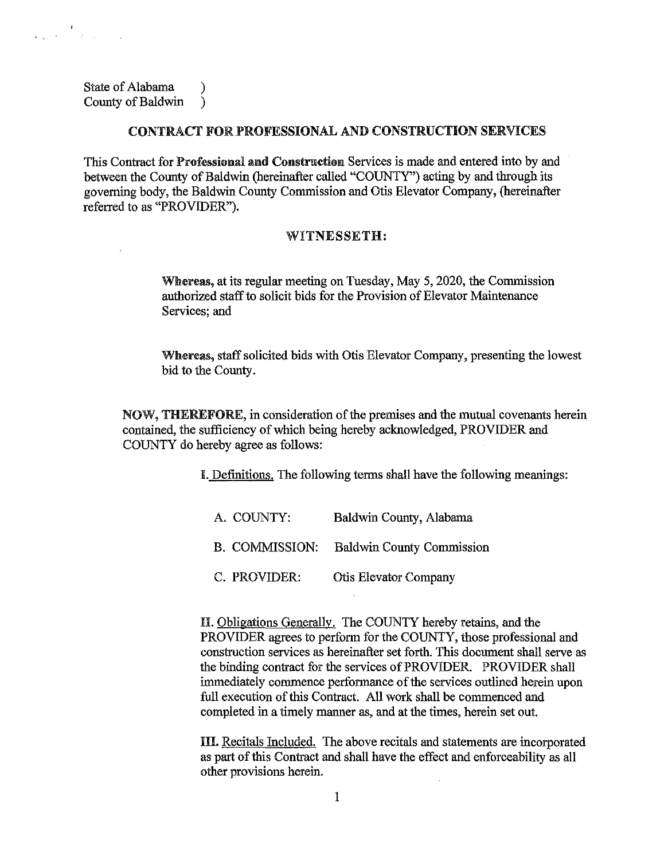State of Alabama (1) County of Baldwin )

 $\label{eq:2} \begin{array}{l} \mathbf{1}_{\mathbf{1}_{\mathbf{1}}\mathbf{1}_{\mathbf{1}}\mathbf{1}_{\mathbf{1}}\mathbf{1}_{\mathbf{1}}\mathbf{1}_{\mathbf{1}}\mathbf{1}_{\mathbf{1}}\mathbf{1}_{\mathbf{1}}\mathbf{1}_{\mathbf{1}}\mathbf{1}_{\mathbf{1}}\mathbf{1}_{\mathbf{1}}\mathbf{1}_{\mathbf{1}}\mathbf{1}_{\mathbf{1}}\mathbf{1}_{\mathbf{1}}\mathbf{1}_{\mathbf{1}}\mathbf{1}_{\mathbf{1}}\mathbf{1}_{\mathbf{1}}\mathbf{1}_{\math$ 

## CONTRACT FOR.PROFESSIONAL AND CONSTRUCTION SERVICES

This Contract for Professional and Construction Services is made and entered into by and between the County of Baldwin (hereinafter called "COUNTY") acting by and through its governing body, the Baldwin County Commission and Otis Elevator Company, (hereinafter referred to as "PROVIDER").

## WITNESSETH:

Whereas, at its regular meeting on Tuesday, May 5, 2020, the Commission authorized staff to solicit bids for the Provision of Elevator Maintenance Services; and

Whereas, staff solicited bids with Otis Elevator Company, presenting the lowest bid to the County.

NOW, THEREFORE, in consideration of the premises and the mutual covenants herein contained, the sufficiency of which being hereby acknowledged, PROVIDER and COUNTY do hereby agree as follows:

I. Definitions. The following terms shall have the following meanings:

| A. COUNTY:     | Baldwin County, Alabama          |
|----------------|----------------------------------|
| B. COMMISSION: | <b>Baldwin County Commission</b> |
| C. PROVIDER:   | <b>Otis Elevator Company</b>     |

 $\mathcal{L}$ 

II. Obligations Generally. The COUNTY hereby retains, and the PROVIDER agrees to perform for the COUNTY, those professional and construction services as hereinafter set forth. This document shall serve as the binding contract for the services of PROVIDER. PROVIDER shall immediately commence performance of the services outlined herein upon full execution of this Contract. All work shall be commenced and completed in a timely manner as, and at the times, herein set out.

III. Recitals Included. The above recitals and statements are incorporated as part of this Contract and shall have the effect and enforceability as all other provisions herein.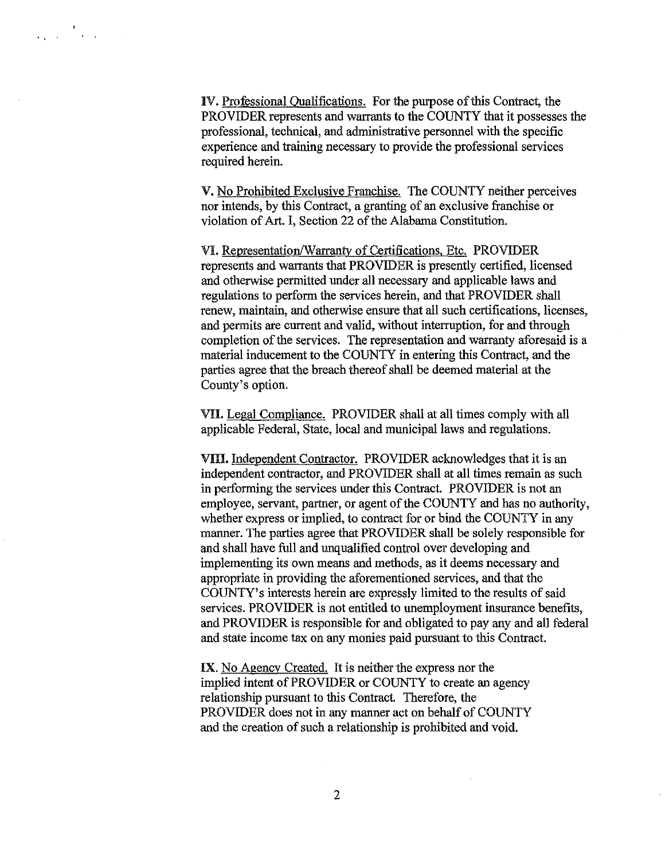IV. Professional Qualifications. For the purpose of this Contract, the PROVIDER represents and warrants to the COUNTY that it possesses the professional, technical, and administrative personnel with the specific experience and training necessary to provide the professional services required herein.

V. No Prohibited Exclusive Franchise. The COUNTY neither perceives nor intends, by this Contract, a granting of an exclusive franchise or violation of Art. I, Section 22 of the Alabama Constitution.

VI. Representation/Warranty of Certifications, Etc. PROVIDER represents and warrants that PROVIDER is presently certified, licensed and otherwise permitted under all necessary and applicable laws and regulations to perform the services herein, and that PROVIDER shall renew, maintain, and otherwise ensure that all such certifications, licenses, and permits are current and valid, without interruption, for and through completion of the services. The representation and warranty aforesaid is a material inducement to the COUNTY in entering this Contract, and the parties agree that the breach thereof shall be deemed material at the County's option.

VU. Legal Compliance. PROVIDER shall at all times comply with all applicable Federal, State, local and municipal Jaws and regulations.

VIII. Independent Contractor. PROVIDER acknowledges that it is an independent contractor, and PROVIDER shall at all times remain as such in performing the services under this Contract. PROVIDER is not an employee, servant, partner, or agent of the COUNTY and has no authority, whether express or implied, to contract for or bind the COUNTY in any manner. The parties agree that PROVIDER shall be solely responsible for and shall have full and unqualified control over developing and implementing its own means and methods, as it deems necessary and appropriate in providing the aforementioned services, and that the COUNTY' s interests herein are expressly limited to the results of said services. PROVIDER is not entitled to unemployment insurance benefits, and PROVIDER is responsible for and obligated to pay any and all federal and state income tax on any monies paid pursuant to this Contract.

IX. No Agency Created. It is neither the express nor the implied intent of PROVIDER or COUNTY to create an agency relationship pursuant to this Contract. Therefore, the PROVIDER does not in any manner act on behalf of COUNTY and the creation of such a relationship is prohibited and void.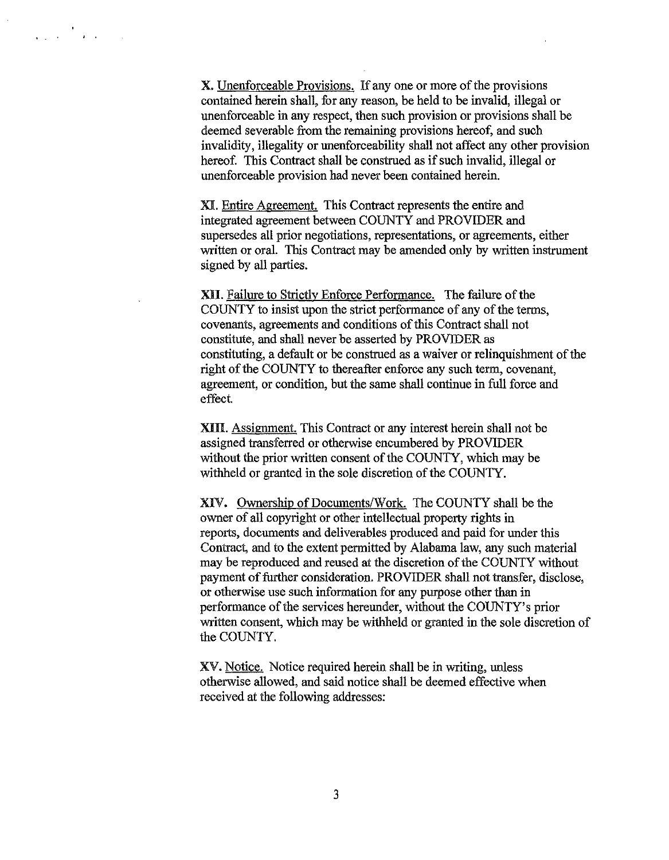X. Unenforceable Provisions. If any one or more of the provisions contained herein shall, for any reason, be held to be invalid, illegal or unenforceable in any respect, then such provision or provisions shall be deemed severable from the remaining provisions hereof, and such invalidity, illegality or unenforceability shall not affect any other provision hereof. This Contract shall be construed as if such invalid, illegal or unenforceable provision had never been contained herein.

المن العالمي.<br>من الأمر المن المن المن المن المن

XI. Entire Agreement. This Contract represents the entire and integrated agreement between COUNTY and PROVIDER and supersedes all prior negotiations, representations, or agreements, either written or oral. This Contract may be amended only by written instrument signed by all parties.

XII. Failure to Strictly Enforce Performance. The failure of the COUNTY to insist upon the strict performance of any of the terms, covenants, agreements and conditions of this Contract shall not constitute, and shall never be asserted by PROVIDER as constituting, a default or be construed as a waiver or relinquishment of the right of the COUNTY to thereafter enforce any such term, covenant, agreement, or condition, but the same shall continue in full force and effect.

XIII. Assignment. This Contract or any interest herein shall not be assigned transferred or otherwise encumbered by PROVIDER without the prior written consent of the COUNTY, which may be withheld or granted in the sole discretion of the COUNTY.

XIV. Ownership of Documents/Work. The COUNTY shall be the owner of all copyright or other intellectual property rights in reports, documents and deliverables produced and paid for under this Contract, and to the extent permitted by Alabama Jaw, any such material may be reproduced and reused at the discretion of the COUNTY without payment of further consideration. PROVIDER shall not transfer, disclose, or otherwise use such information for any purpose other than in performance of the services hereunder, without the COUNTY's prior written consent, which may be withheld or granted in the sole discretion of the COUNTY.

XV. Notice. Notice required herein shall be in writing, unless otherwise allowed, and said notice shall be deemed effective when received at the following addresses: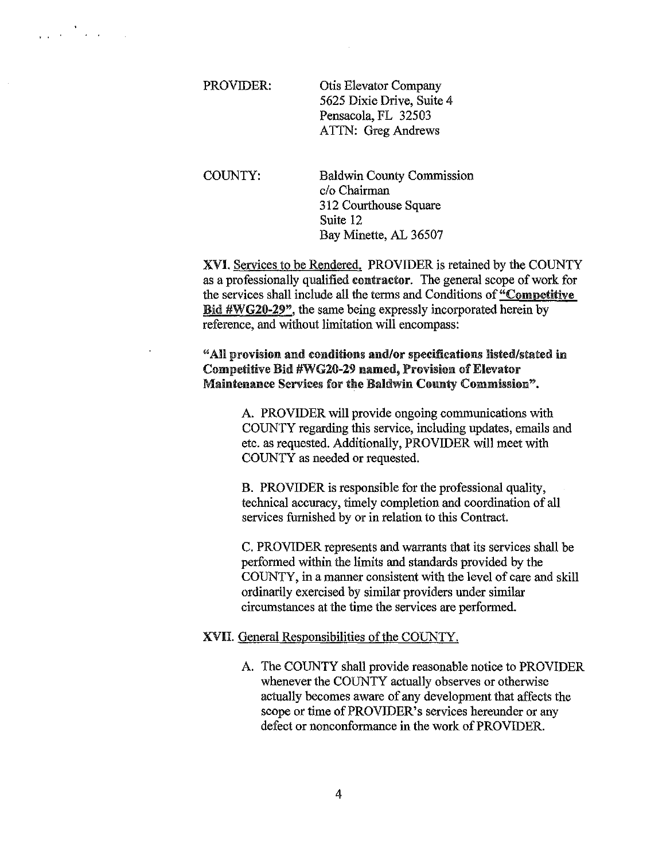| PROVIDER: | Otis Elevator Company     |
|-----------|---------------------------|
|           | 5625 Dixie Drive, Suite 4 |
|           | Pensacola, FL 32503       |
|           | ATTN: Greg Andrews        |

 $\label{eq:2} \frac{1}{\sqrt{2}}\int_{\mathbb{R}^3}\frac{1}{\sqrt{2}}\left(\frac{1}{\sqrt{2}}\right)^2\frac{1}{\sqrt{2}}\left(\frac{1}{\sqrt{2}}\right)^2\frac{1}{\sqrt{2}}\left(\frac{1}{\sqrt{2}}\right)^2\frac{1}{\sqrt{2}}\left(\frac{1}{\sqrt{2}}\right)^2\frac{1}{\sqrt{2}}\left(\frac{1}{\sqrt{2}}\right)^2\frac{1}{\sqrt{2}}\left(\frac{1}{\sqrt{2}}\right)^2\frac{1}{\sqrt{2}}\left(\frac{1}{\sqrt{2}}\right)^2\frac{1}{\sqrt{2}}$ 

COUNTY: Baldwin County Commission c/o Chairman 312 Courthouse Square Suite 12 Bay Minette, AL 36507

XVI. Services to be Rendered. PROVIDER is retained by the COUNTY as a professionally qualified contractor. The general scope of work for the services shall include all the terms and Conditions of "Competitive Bid #WG20-29", the same being expressly incorporated herein by reference, and without limitation will encompass:

## "All provision and conditions and/or specifications listed/stated in Competitive Bid #WG20-29 named, Provision of Elevator Maintenance Services for the Baldwin Connty Commission".

A. PROVIDER will provide ongoing communications with COUNTY regarding this service, including updates, emails and etc. as requested. Additionally, PROVIDER will meet with COUNTY as needed or requested.

B. PROVIDER is responsible for the professional quality, technical accuracy, timely completion and coordination of all services furnished by or in relation to this Contract.

C. PROVIDER represents and warrants that its services shall be performed within the limits and standards provided by the COUNTY, in a manner consistent with the level of care and skill ordinarily exercised by similar providers under similar circumstances at the time the services are performed.

## XVII General Responsibilities of the COUNTY.

A. The COUNTY shall provide reasonable notice to PROVIDER whenever the COUNTY actually observes or otherwise actually becomes aware of any development that affects the scope or time of PROVIDER's services hereunder or any defect or nonconformance in the work of PROVIDER.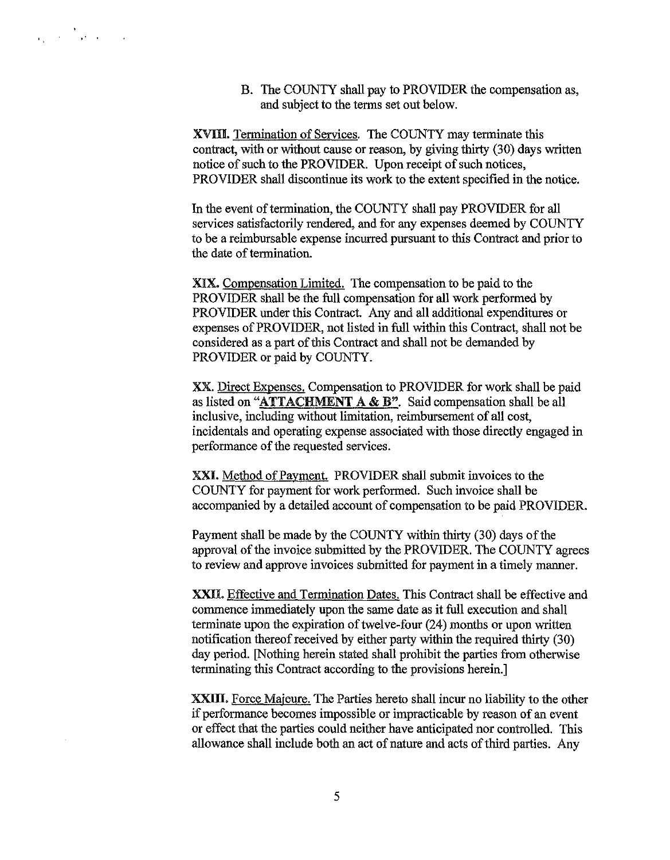B. The COUNTY shall pay to PROVIDER the compensation as, and subject to the terms set out below.

XVIII. Termination of Services. The COUNTY may terminate this contract, with or without cause or reason, by giving thirty (30) days written notice of such to the PROVIDER. Upon receipt of such notices, PROVIDER shall discontinue its work to the extent specified in the notice.

In the event of termination, the COUNTY shall pay PROVIDER for all services satisfactorily rendered, and for any expenses deemed by COUNTY to be a reimbursable expense incurred pursuant to this Contract and prior to the date of termination.

XIX. Compensation Limited. The compensation to be paid to the PROVIDER shall be the full compensation for all work performed by PROVIDER under this Contract. Any and all additional expenditures or expenses of PROVIDER, not listed in full within this Contract, shall not be considered as a part of this Contract and shall not be demanded by PROVIDER or paid by COUNTY.

XX. Direct Expenses. Compensation to PROVIDER for work shall be paid as listed on "ATTACHMENT A & B". Said compensation shall be all inclusive, including without limitation, reimbursement of all cost, incidentals and operating expense associated with those directly engaged in performance of the requested services.

XXI. Method of Payment. PROVIDER shall submit invoices to the COUNTY for payment for work performed. Such invoice shall be accompanied by a detailed account of compensation to be paid PROVIDER.

Payment shall be made by the COUNTY within thirty (30) days of the approval of the invoice submitted by the PROVIDER. The COUNTY agrees to review and approve invoices submitted for payment in a timely manner.

XXII. Effective and Termination Dates. This Contract shall be effective and commence immediately upon the same date as it full execution and shall terminate upon the expiration of twelve-four (24) months or upon written notification thereof received by either party within the required thirty (30) day period. [Nothing herein stated shall prohibit the parties from otherwise terminating this Contract according to the provisions herein.]

XXIII. Force Majeure. The Parties hereto shall incur no liability to the other if performance becomes impossible or impracticable by reason of an event or effect that the parties could neither have anticipated nor controlled. This allowance shall include both an act of nature and acts of third parties. Any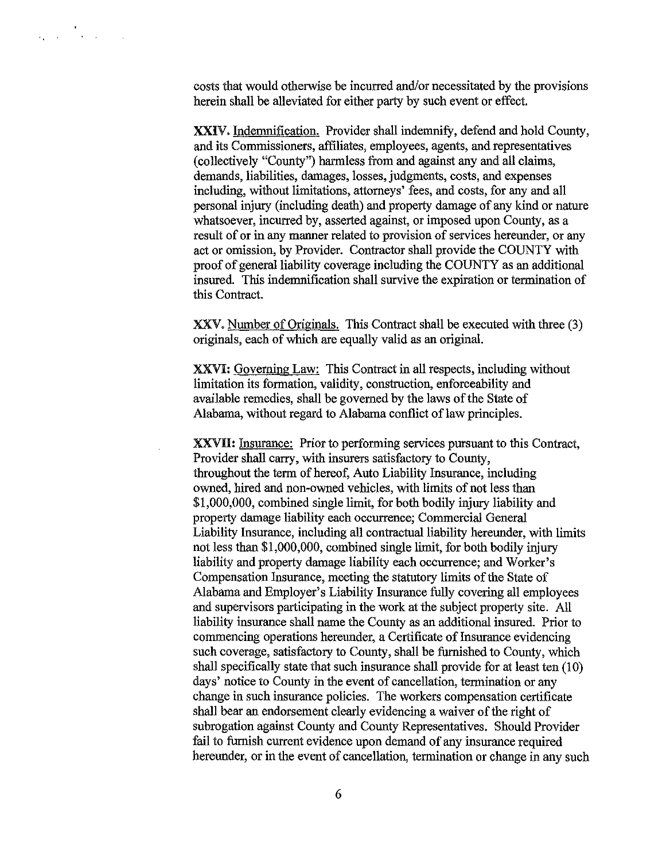costs that would otherwise be incurred and/or necessitated by the provisions herein shall be alleviated for either party by such event or effect.

XXIV. Indemnification. Provider shall indemnify, defend and hold County, and its Commissioners, affiliates, employees, agents, and representatives (collectively "County") harmless from and against any and all claims, demands, liabilities, damages, losses, judgments, costs, and expenses including, without limitations, attorneys' fees, and costs, for any and all personal injury (including death) and property damage of any kind or nature whatsoever, incurred by, asserted against, or imposed upon County, as a result of or in any manner related to provision of services hereunder, or any act or omission, by Provider. Contractor shall provide the COUNTY with proof of general liability coverage including the COUNTY as an additional insured. This indemnification shall survive the expiration or termination of this Contract.

XXV. Number of Originals. This Contract shall be executed with three (3) originals, each of which are equally valid as an original.

XXVI: Governing Law: This Contract in all respects, including without limitation its formation, validity, construction, enforceability and available remedies, shall be governed by the laws of the State of Alabama, without regard to Alabama conflict of law principles.

XXVH: Insurance: Prior to performing services pursuant to this Contract, Provider shall carry, with insurers satisfactory to County, throughout the term of hereof, Auto Liability Insurance, including owned, hired and non-owned vehicles, with limits of not less than \$1,000,000, combined single limit, for both bodily injury liability and property damage liability each occurrence; Commercial General Liability Insurance, including all contractual liability hereunder, with limits not less than \$1,000,000, combined single limit, for both bodily injury liability and property damage liability each occurrence; and Worker's Compensation Insurance, meeting the statutory limits of the State of Alabama and Employer's Liability Insurance fully covering all employees and supervisors participating in the work at the subject property site. All liability insurance shall name the County as an additional insured. Prior to commencing operations hereunder, a Certificate of Insurance evidencing such coverage, satisfactory to County, shall be furnished to County, which shall specifically state that such insurance shall provide for at least ten (10) days' notice to County in the event of cancellation, termination or any change in such insurance policies. The workers compensation certificate shall bear an endorsement clearly evidencing a waiver of the right of subrogation against County and County Representatives. Should Provider fail to furnish current evidence upon demand of any insurance required hereunder, or in the event of cancellation, termination or change in any such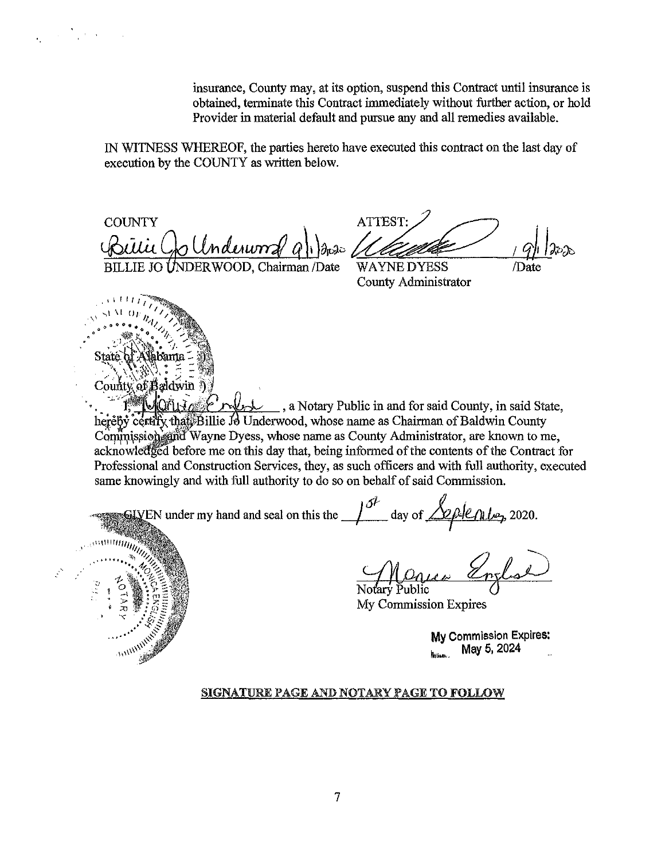insurance, County may, at its option, suspend this Contract until insurance is obtained, terminate this Contract immediately without further action, or hold Provider in material default and pursue any and all remedies available.

IN WITNESS WHEREOF, the parties hereto have executed this contract on the last day of execution by the COUNTY as written below.

**COUNTY** D Underworz sitii ( BILLIE JO UNDERWOOD, Chairman /Date

, **<sup>1</sup>**I I I I I I I , **.\_,1 \I** *OJ: <sup>1</sup> <sup>1</sup> <sup>1</sup>*.\\ *11,,.,* / " " **0 0 " oil • 0** /.,;.) "'.,,,

 $\label{eq:2} \frac{1}{\sqrt{2}}\left(\frac{1}{\sqrt{2}}\right)^2\left(\frac{1}{\sqrt{2}}\right)^2\left(\frac{1}{\sqrt{2}}\right)^2\left(\frac{1}{\sqrt{2}}\right)^2.$ 

State of Alabama -' \ \ :\''?{~ \_\_ .J, **o** ~ - :c\_:

> **COUNTRY SEA**

ATTEST: I *qh* la~'db

/Date

**WAYNE DYESS** County Administrator

County of Baldwin .. *.* :,.v·";,~ . ~' **f** . .... <sub>1</sub>, a Notary Public in and for said County, in said State, herêby certify that Billie Jo Underwood, whose name as Chairman of Baldwin County Commission and Wayne Dyess, whose name as County Administrator, are known to me, acknowledged before me on this day that, being informed of the contents of the Contract for Professional and Construction Services, they, as such officers and with full authority, executed same knowingly and with full authority to do so on behalf of said Commission.

wingly and with full authority to do so on behalf of said Commission.<br>EN under my hand and seal on this the  $\frac{\delta^2}{\epsilon}$  day of  $\frac{\sqrt{2} \beta \epsilon \rho_0 \rho_2}{\epsilon}$ , 2020. 

Notary Public

My Commission Expires

**My** Commission Expires: ~""""· **May** 5, 2024 ...

## SIGNATURE PAGE AND NOTARY PAGE TO FOLLOW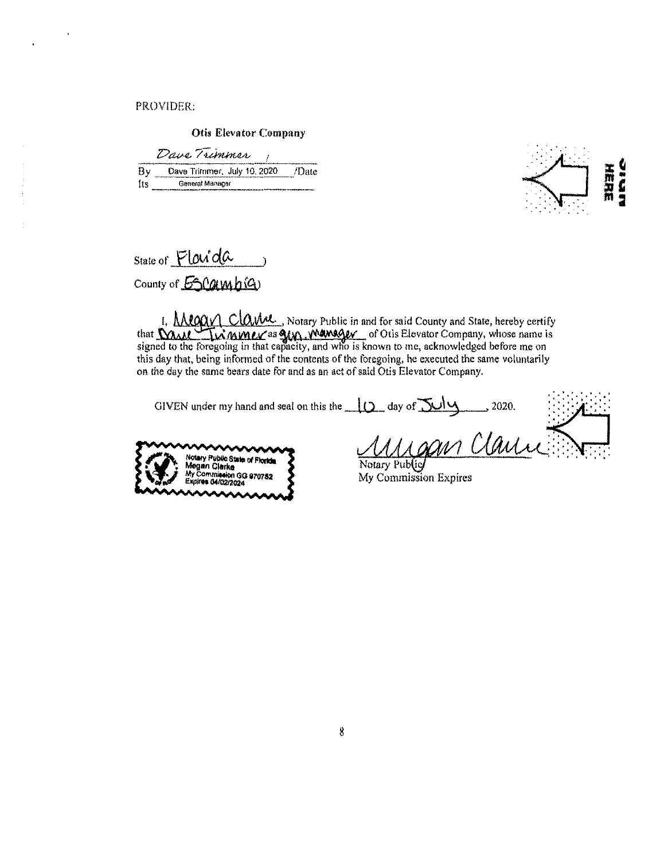PROVIDER:

Otis Elevator Company

|     | Dave Trimmer                |       |
|-----|-----------------------------|-------|
| BV. | Dave Trimmer, July 10, 2020 | /Date |
| Ħ۳  | General Manager             |       |



| State of Flavida   |  |
|--------------------|--|
| County of ESCampig |  |

1, **AMOOV CLOWE**, Notary Public in and for said County and State, hereby certify <sup>1</sup>. Megay Clame, Notary Public in and for said County and State, hereby certify<br>that **WAMITM MWLY** as **SM, WAMSGEV** of Otis Elevator Company, whose name is<br>signed to the foregoing in that capacity, and who is known to me, this day that, being informed of the contents of the foregoing, he executed the same voluntarily on the day the same bears date for and as an act of said Otis Elevator Company.

| GIVEN under my hand and seal on this the $\Box$ day of $\Box\Box\Box$ | 2020.                      |  |
|-----------------------------------------------------------------------|----------------------------|--|
| w<br>Notary Public State of Florida<br>Megan Clarke                   | gan Clare<br>Notary Public |  |



My Commission Expires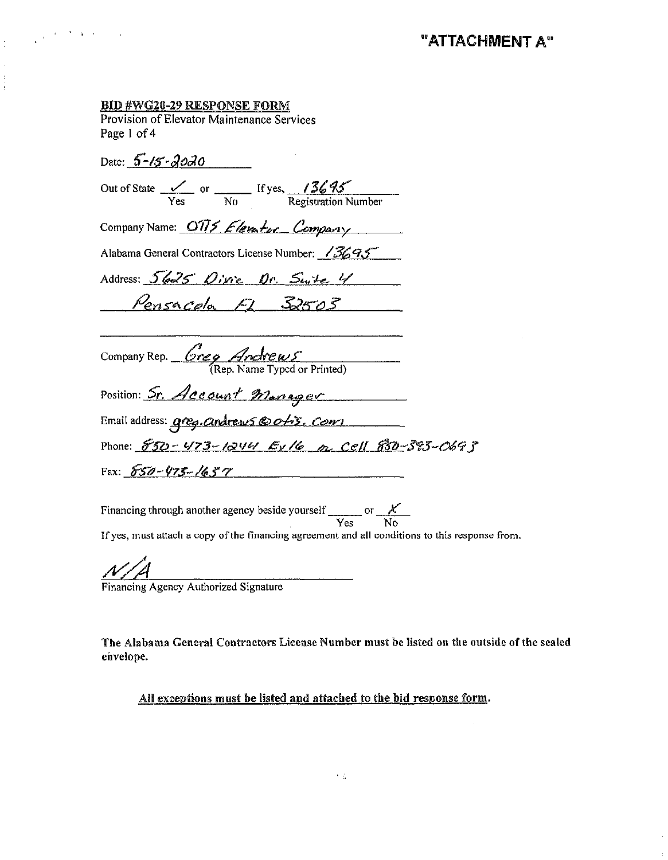## **BID #WG20-29 RESPONSE FORM**

 $\frac{1}{4}$  , we consider the constant  $\frac{1}{4}$ 

Provision of Elevator Maintenance Services Page 1 of 4

Date:  $5 - 15 - 20 - 30$ Out of State  $\frac{V}{\gamma_{\text{es}}}$  or  $\frac{15}{\gamma_{\text{es}}}$  If yes,  $\frac{136}{\gamma_{\text{res}}}$ Company Name: 0775 Elevator Company Alabama General Contractors License Number: /3695 Address: 5625 Oivie Or. Swite 4 <u>Pensacola FL 32503</u> Company Rep.  $\frac{Greg \text{} Ardrews}{(Rep. Name Typed or Printed)}$ Position: Sr. Account Manager Email address: greg. andrews @ ofis. Com Phone: 530-473-1244 Ex16 or Cell 830-393-0693 Fax:  $650 - 475 - 16577$ 

Financing through another agency beside yourself  $\frac{\chi}{\text{Yes}}$  or  $\frac{\chi}{\text{No}}$ If yes, must attach a copy of the financing agreement and all conditions to this response from.

Financing Agency Authorized Signature

The Alabama General Contractors License Number must be listed on the outside of the sealed envelope.

All exceptions must be listed and attached to the bid response form.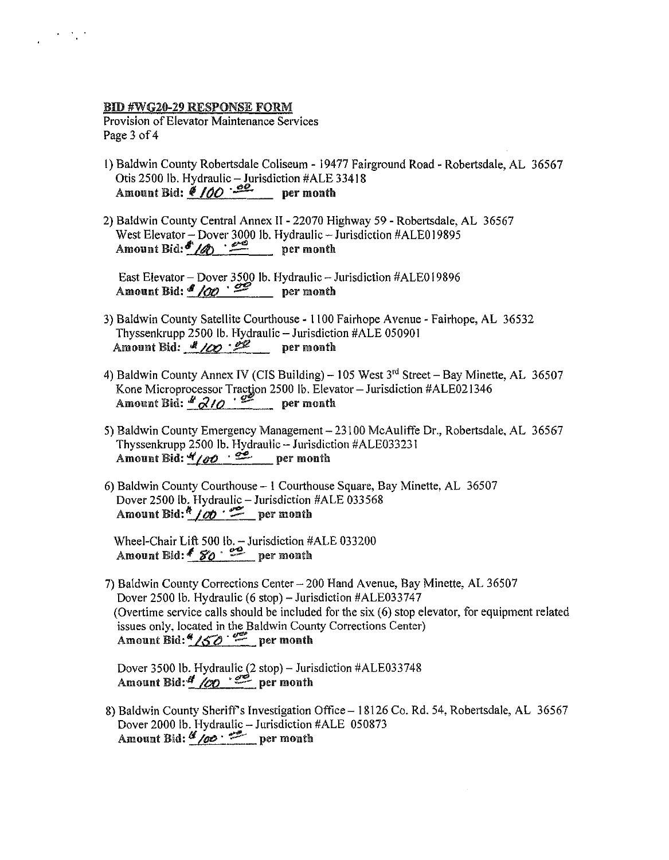## BID #WG20-29 RESPONSE FORM

 $\langle\sigma_{\rm{eff}}\rangle$ 

Provision of Elevator Maintenance Services Page 3 of 4

- 1) Baldwin County Robertsdale Coliseum 19477 Fairground Road- Robertsdale, AL 36567 Otis 2500 lb. Hydraulic  $-$  Jurisdiction #ALE 33418 Amount Bid:  $\frac{\sqrt{100} \cdot 22}{\sqrt{100}}$  per month
- 2) Baldwin County Central Annex II 22070 Highway 59 Robertsdale, AL 36567 West Elevator - Dover 3000 lb. Hydraulic - Jurisdiction #ALE019895 Amount Bid: $\frac{d^2}{d}$   $\frac{d^2}{d}$  per month

East Elevator - Dover 3500 lb. Hydraulic - Jurisdiction #ALE019896 Amount Bid:  $\frac{1}{\sqrt{00}}$   $\cdot \frac{1}{\sqrt{00}}$  per month

- 3) Baldwin County Satellite Courthouse 1100 Fairhope Avenue Fairhope, AL 36532 Thyssenkrupp 2500 lb. Hydraulic-Jurisdiction #ALE 050901 Amount Bid:  $\frac{d}{d\theta}$  / $\frac{d\theta}{d\theta}$  per month
- 4) Baldwin County Annex IV (CIS Building) 105 West  $3<sup>rd</sup>$  Street Bay Minette, AL 36507 Kone Microprocessor Traction 2500 lb. Elevator - Jurisdiction #ALE021346 Amount Bid:  $\frac{d}{d}$  *Q10*  $\cdot$  <sup>25</sup> per month
- 5) Baldwin County Emergency Management- 23100 McAuliffe Dr., Robertsdale, AL 36567 Thyssenkrupp 2500 lb. Hydraulic- Jurisdiction #ALE033231 Amount Bid:  $\frac{4}{100}$   $\cdot$   $\frac{32}{100}$  per month
- 6) Baldwin County Courthouse I Courthouse Square, Bay Minette, AL 36507 Dover 2500 lb. Hydraulic – Jurisdiction #ALE 033568 Amount Bid:  $\frac{k}{\omega}$  or month

Wheel-Chair Lift 500 lb.  $-$  Jurisdiction #ALE 033200 Amount Bid:  $680 - 29$  per month

7) Baldwin County Corrections Center - 200 Hand Avenue, Bay Minette, AL 36507 Dover 2500 lb. Hydraulic (6 stop)-Jurisdiction #ALE033747 (Overtime service calls should be included for the six (6) stop elevator, for equipment related issues only, located in the Baldwin County Corrections Center) Amount Bid:  $\frac{4}{50}$   $\approx$  per month

Dover 3500 lb. Hydraulic (2 stop)- Jurisdiction #ALE033748 Amount Bid:  $\frac{d}{d}$  /00  $\cdot$   $\approx$  per month

8) Baldwin County Sheriff's Investigation Office - 18126 Co. Rd. 54, Robertsdale, AL 36567 Dover 2000 lb. Hydraulic - Jurisdiction #ALE 050873 Amount Bid:  $\frac{d}{d}$  /and  $\cdot$   $\frac{d}{d}$  per month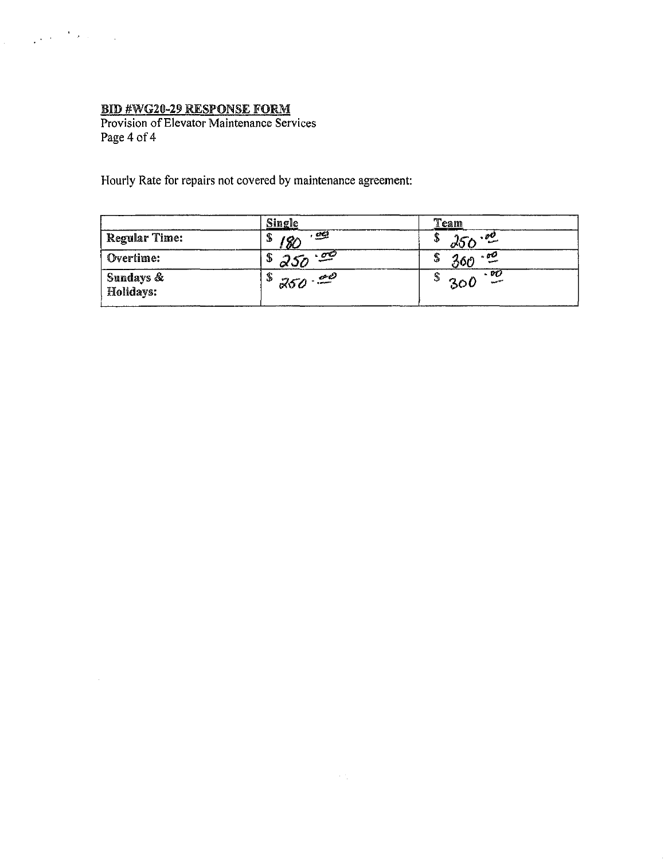$\label{eq:2} \frac{1}{2} \int_{\mathbb{R}^3} \left| \frac{d\mathbf{r}}{d\mathbf{r}} \right|^2 \, d\mathbf{r} \, d\mathbf{r} \, d\mathbf{r} \, d\mathbf{r} \, d\mathbf{r} \, d\mathbf{r} \, d\mathbf{r} \, d\mathbf{r} \, d\mathbf{r} \, d\mathbf{r} \, d\mathbf{r} \, d\mathbf{r} \, d\mathbf{r} \, d\mathbf{r} \, d\mathbf{r} \, d\mathbf{r} \, d\mathbf{r} \, d\mathbf{r} \, d\mathbf{$ 

 $\sim 10^{11}$  km  $^{-1}$ 

**BID #WG20-29 RESPONSE FORM**<br>Provision of Elevator Maintenance Services Page 4 of 4

Hourly Rate for repairs not covered by maintenance agreement:

|                        | <b>Single</b>               | Team                                   |
|------------------------|-----------------------------|----------------------------------------|
| Regular Time:          | $\mathbb{Z}^2$<br>\$<br>8C  | $\cdot$ 00<br>Φ<br>OV                  |
| Overtime:              | ా - తా<br>\$<br>$\alpha$ ur | ن ه<br>360<br>J,                       |
| Sundays &<br>Holidays: | \$<br>$\cdot$<br>250        | - 90<br>د۵<br><b>STATISTICS</b><br>30. |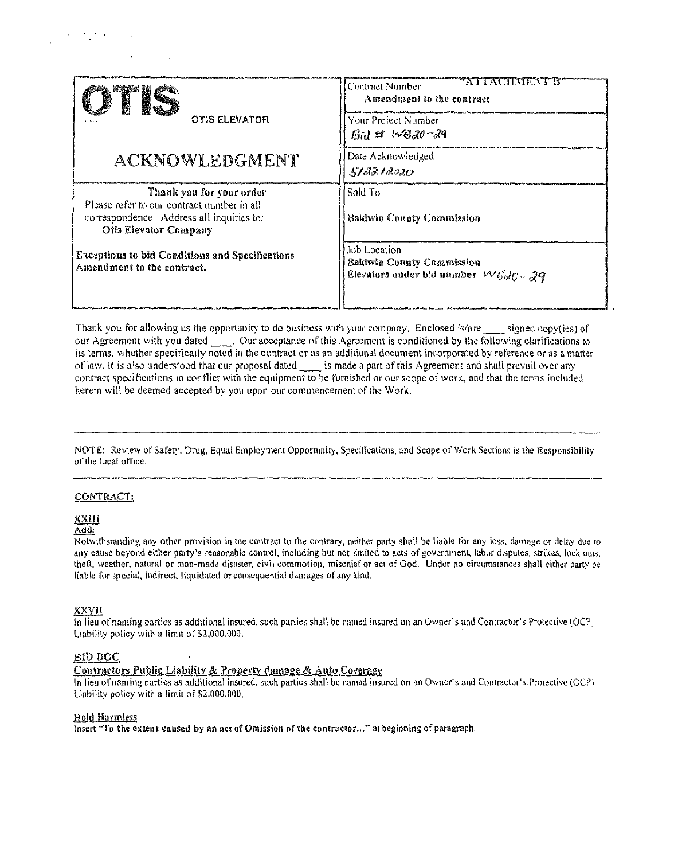| <b>OTIS ELEVATOR</b>                                                                                                                                | ATI ACHAILATIS<br>l Contract Number<br>Amendment to the contract<br>Your Project Number<br>$Bid \;$ $\mathscr{A}$ $\mathscr{A}GZ0 - 29$ |
|-----------------------------------------------------------------------------------------------------------------------------------------------------|-----------------------------------------------------------------------------------------------------------------------------------------|
| ACKNOWLEDGMENT                                                                                                                                      | Date Acknowledged<br>5/40/4020                                                                                                          |
| Thank you for your order<br>Please refer to our contract number in all<br>correspondence. Address all inquiries to:<br><b>Otis Elevator Company</b> | Sold To<br><b>Baldwin County Commission</b>                                                                                             |
| <b>Exceptions to bid Conditions and Specifications</b><br>Amendment to the contract.                                                                | Job Location<br><b>Baldwin County Commission</b><br>Elevators under bid number $W6dQ - 29$                                              |

Thank you for allowing us the opportunity to do business with your company. Enclosed is/are signed copy(ies) of our Agreement with you dated \_\_\_\_. Our acceptance of this Agreement is conditioned by the following clarifications to its terms, whether specifically noted in the contract or as an additional document incorporated by reference or as a matter of law. It is also understood that our proposal dated is made a part of this Agreement and shall prevail over any contract specifications in conflict with the equipment to be furnished or our scope of work, and that the terms included herein will be deemed accepted by you upon our commencement of the Work.

NOTE: Review of Safety, Drug, Equal Employment Opportunity, Specifications, and Scope of Work Sections is the Responsibility of the local office.

#### CONTRACT:

## <u>XXIII</u>

 $\mathcal{F}^{\mathcal{G}}_{\mathcal{G}}$  , where  $\mathcal{F}^{\mathcal{G}}_{\mathcal{G}}$  and

 $Add:$ 

Notwithsranding any other provision in the contract to the contrary, neither party shall be liable for any loss, damage or delay due to any cause beyond either party's reasonable control, including but not limited to acts of government, labor disputes, strikes, lock outs, theft, weather, natural or man-made disaster, civil commotion, mischief or act of God. Under no circumstances shall either party be liable for special, indirect, liquidated or consequential damages of any kind.

#### **XXVII**

In lieu of naming parties as additional insured, such parties shall be named insured on an Owner's and Contractor's Protective (OCP) Liability policy with a limit of \$2,000,000.

## **BID DOC**

## Contractors Public Liability & Property damage & Auto Coverage

In lieu of naming parties as additional insured, such parties shall be named insured on an Owner's and Contractor's Protective (OCP) Liability policy with a limit of \$2,000,000.

#### **Hold Harmless**

Insert "To the extent caused by an act of Omission of the contractor..." at beginning of paragraph.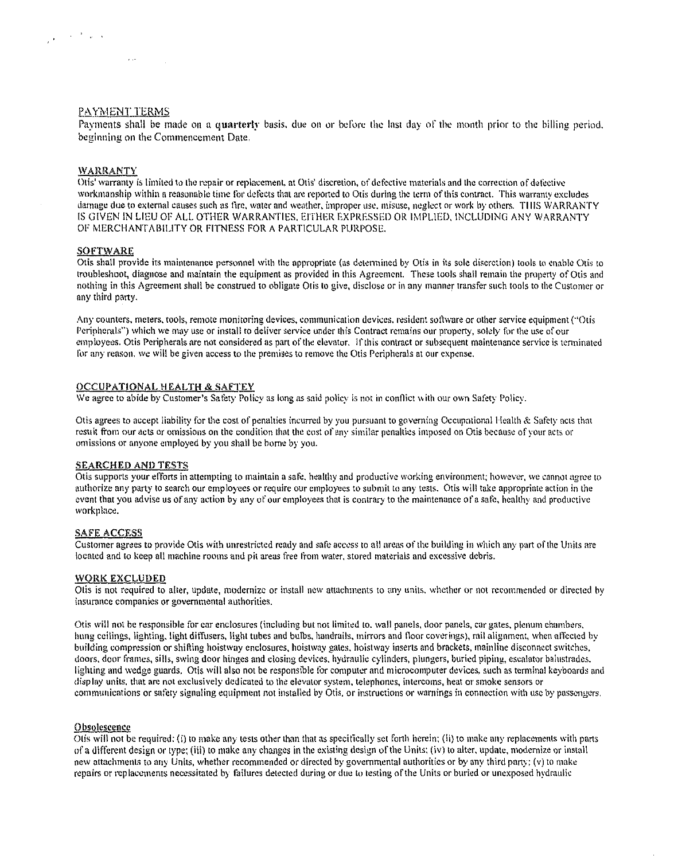## PAYMENT TERMS

 $\mathcal{A}$  ,  $\mathcal{A}$  ,  $\mathcal{A}$  ,  $\mathcal{A}$ 

Payments shall be made on a quarterly basis, due on or before the last day of the month prior to the billing period, beginning on the Commencement Date.

#### **WARRANTY**

 $\frac{1}{\sqrt{2}}\int_{-\infty}^{\infty}e^{-\frac{1}{2}x}e^{-\frac{1}{2}x}e^{-\frac{1}{2}x}dx$ 

Otis' warranty is limited to the repair or replacement, at Otis' discretion, of defective materials and the correction of defective workmanship within a reasonable time for defects that are reported to Otis during the term of this contract. This warranty excludes damage due to external causes such as fire, water and weather, improper use, misuse, neglect or work by others. THIS WARRANTY IS GIVEN IN LIEU OF ALL OTHER WARRANTIES, EITHER EXPRESSED OR IMPLIED, INCLUDING ANY WARRANTY OF MERCHANTABILITY OR FITNESS FOR A PARTICULAR PURPOSE.

#### **SOFTWARE**

Otis shall provide its maintenance personnel with the appropriate (as determined by Otis in its sole discretion) tools to enable Otis to troubleshoot, diagnose and maintain the equipment as provided in this Agreement. These tools shall remain the property of Otis and nothing in this Agreement shall be construed to obligate Otis to give, disclose or in any manner transfer such tools to the Customer or any third party.

Any counters, meters, tools, remote monitoring devices, communication devices, resident software or other service equipment ("Otis Peripherals") which we may use or install to deliver service under this Contract remains our property, solely for the use of our employees. Otis Peripherals are not considered as part of the elevator. If this contract or subsequent maintenance service is terminated for any reason, we will be given access to the premises to remove the Otis Peripherals at our expense.

#### **OCCUPATIONAL HEALTH & SAFTEY**

We agree to abide by Customer's Safety Policy as long as said policy is not in conflict with our own Safety Policy.

Otis agrees to accept liability for the cost of penalties incurred by you pursuant to governing Occupational Health & Safety acts that result from our acts or omissions on the condition that the cost of any similar penalties imposed on Otis because of your acts or omissions or anyone employed by you shall be borne by you.

## **SEARCHED AND TESTS**

Otis supports your efforts in attempting to maintain a safe, healthy and productive working environment; however, we cannot agree to authorize any party to search our employees or require our employees to submit to any tests. Otis will take appropriate action in the event that you advise us of any action by any of our employees that is contrary to the maintenance of a safe, healthy and productive workplace.

#### **SAFE ACCESS**

Customer agrees to provide Otis with unrestricted ready and safe access to all areas of the building in which any part of the Units are located and to keep all machine rooms and pit areas free from water, stored materials and excessive debris.

#### **WORK EXCLUDED**

Otis is not required to alter, update, modernize or install new attachments to any units, whether or not recommended or directed by insurance companies or governmental authorities.

Otis will not be responsible for car enclosures (including but not limited to, wall panels, door panels, car gates, plenum chambers, hung ceilings, lighting, light diffusers, light tubes and bulbs, handrails, mirrors and floor coverings), rail alignment, when affected by building compression or shifting hoistway enclosures, hoistway gates, hoistway inserts and brackets, mainline disconnect switches, doors, door frames, sills, swing door hinges and closing devices, hydraulic cylinders, plungers, buried piping, escalator balustrades. lighting and wedge guards. Otis will also not be responsible for computer and microcomputer devices, such as terminal keyboards and display units, that are not exclusively dedicated to the elevator system, telephones, intercoms, heat or smoke sensors or communications or safety signaling equipment not installed by Otis, or instructions or warnings in connection with use by passengers.

#### Obsolescence

Otis will not be required: (i) to make any tests other than that as specifically set forth herein; (ii) to make any replacements with parts of a different design or type; (iii) to make any changes in the existing design of the Units; (iv) to alter, update, modernize or install new attachments to any Units, whether recommended or directed by governmental authorities or by any third party; (v) to make repairs or replacements necessitated by failures detected during or due to testing of the Units or buried or unexposed hydraulic